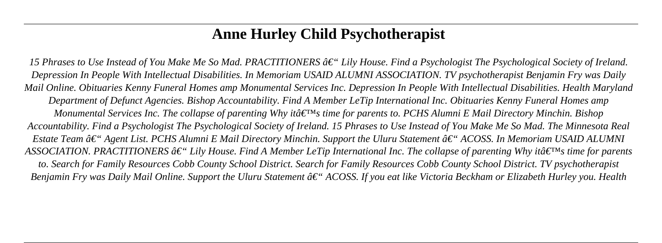# **Anne Hurley Child Psychotherapist**

*15 Phrases to Use Instead of You Make Me So Mad. PRACTITIONERS â€* "*Lily House. Find a Psychologist The Psychological Society of Ireland. Depression In People With Intellectual Disabilities. In Memoriam USAID ALUMNI ASSOCIATION. TV psychotherapist Benjamin Fry was Daily Mail Online. Obituaries Kenny Funeral Homes amp Monumental Services Inc. Depression In People With Intellectual Disabilities. Health Maryland Department of Defunct Agencies. Bishop Accountability. Find A Member LeTip International Inc. Obituaries Kenny Funeral Homes amp Monumental Services Inc. The collapse of parenting Why it's time for parents to. PCHS Alumni E Mail Directory Minchin. Bishop Accountability. Find a Psychologist The Psychological Society of Ireland. 15 Phrases to Use Instead of You Make Me So Mad. The Minnesota Real Estate Team â€* " Agent List. PCHS Alumni E Mail Directory Minchin. Support the Uluru Statement †" ACOSS. In Memoriam USAID ALUMNI ASSOCIATION. PRACTITIONERS  $\hat{a}\in$ " Lily House. Find A Member LeTip International Inc. The collapse of parenting Why it $\hat{a}\in$ <sup>IM</sup>s time for parents *to. Search for Family Resources Cobb County School District. Search for Family Resources Cobb County School District. TV psychotherapist Benjamin Fry was Daily Mail Online. Support the Uluru Statement â€* "ACOSS. If you eat like Victoria Beckham or Elizabeth Hurley you. Health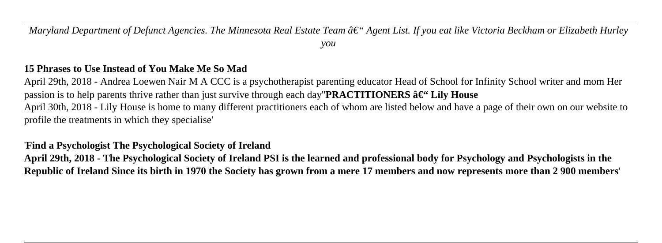*Maryland Department of Defunct Agencies. The Minnesota Real Estate Team â*  $\epsilon$ " Agent List. If you eat like Victoria Beckham or Elizabeth Hurley

*you*

#### **15 Phrases to Use Instead of You Make Me So Mad**

April 29th, 2018 - Andrea Loewen Nair M A CCC is a psychotherapist parenting educator Head of School for Infinity School writer and mom Her passion is to help parents thrive rather than just survive through each day"**PRACTITIONERS**  $\hat{a} \in \iint$ **House** April 30th, 2018 - Lily House is home to many different practitioners each of whom are listed below and have a page of their own on our website to profile the treatments in which they specialise'

'**Find a Psychologist The Psychological Society of Ireland**

**April 29th, 2018 - The Psychological Society of Ireland PSI is the learned and professional body for Psychology and Psychologists in the Republic of Ireland Since its birth in 1970 the Society has grown from a mere 17 members and now represents more than 2 900 members**'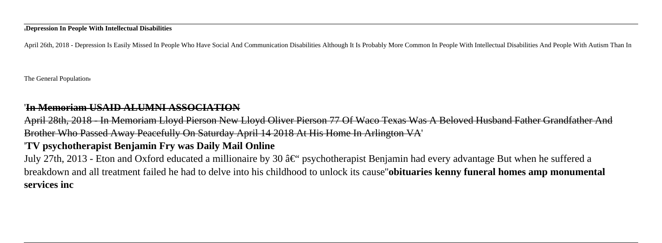#### '**Depression In People With Intellectual Disabilities**

April 26th, 2018 - Depression Is Easily Missed In People Who Have Social And Communication Disabilities Although It Is Probably More Common In People With Intellectual Disabilities And People With Autism Than In

The General Population'

#### '**In Memoriam USAID ALUMNI ASSOCIATION**

April 28th, 2018 - In Memoriam Lloyd Pierson New Lloyd Oliver Pierson 77 Of Waco Texas Was A Beloved Husband Father Grandfather And Brother Who Passed Away Peacefully On Saturday April 14 2018 At His Home In Arlington VA'

#### '**TV psychotherapist Benjamin Fry was Daily Mail Online**

July 27th, 2013 - Eton and Oxford educated a millionaire by 30  $\hat{\mathfrak{g}} \in \hat{\mathfrak{g}}$  psychotherapist Benjamin had every advantage But when he suffered a breakdown and all treatment failed he had to delve into his childhood to unlock its cause''**obituaries kenny funeral homes amp monumental services inc**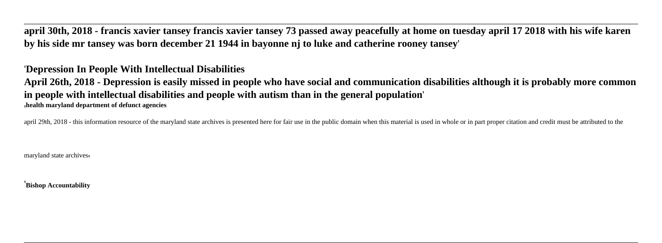**april 30th, 2018 - francis xavier tansey francis xavier tansey 73 passed away peacefully at home on tuesday april 17 2018 with his wife karen by his side mr tansey was born december 21 1944 in bayonne nj to luke and catherine rooney tansey**'

#### '**Depression In People With Intellectual Disabilities**

**April 26th, 2018 - Depression is easily missed in people who have social and communication disabilities although it is probably more common in people with intellectual disabilities and people with autism than in the general population**' '**health maryland department of defunct agencies**

april 29th, 2018 - this information resource of the maryland state archives is presented here for fair use in the public domain when this material is used in whole or in part proper citation and credit must be attributed t

maryland state archives,

'**Bishop Accountability**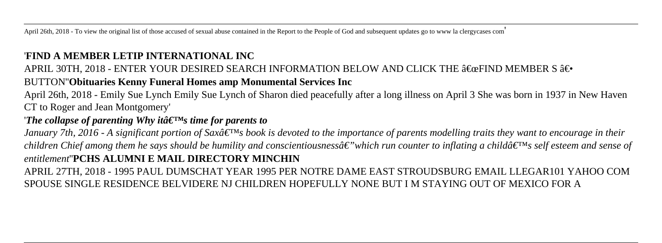April 26th, 2018 - To view the original list of those accused of sexual abuse contained in the Report to the People of God and subsequent updates go to www la clergycases com

#### '**FIND A MEMBER LETIP INTERNATIONAL INC**

### APRIL 30TH, 2018 - ENTER YOUR DESIRED SEARCH INFORMATION BELOW AND CLICK THE  $\hat{a} \in \hat{c}$ efind member S  $\hat{a} \in \hat{c}$ BUTTON''**Obituaries Kenny Funeral Homes amp Monumental Services Inc**

April 26th, 2018 - Emily Sue Lynch Emily Sue Lynch of Sharon died peacefully after a long illness on April 3 She was born in 1937 in New Haven CT to Roger and Jean Montgomery'

#### '*The collapse of parenting Why itâ* $\epsilon$ <sup>TM</sup>s *time for parents to*

*January 7th, 2016 - A significant portion of Saxâ*  $\epsilon_{\rm I}$ *Ms book is devoted to the importance of parents modelling traits they want to encourage in their children Chief among them he says should be humility and conscientiousnessâ€*"which run counter to inflating a childâ€<sup>™</sup>s self esteem and sense of *entitlement*''**PCHS ALUMNI E MAIL DIRECTORY MINCHIN**

APRIL 27TH, 2018 - 1995 PAUL DUMSCHAT YEAR 1995 PER NOTRE DAME EAST STROUDSBURG EMAIL LLEGAR101 YAHOO COM SPOUSE SINGLE RESIDENCE BELVIDERE NJ CHILDREN HOPEFULLY NONE BUT I M STAYING OUT OF MEXICO FOR A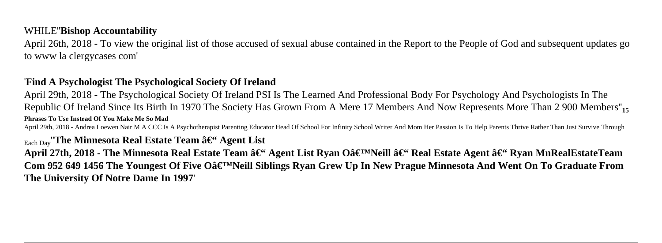#### WHILE''**Bishop Accountability**

April 26th, 2018 - To view the original list of those accused of sexual abuse contained in the Report to the People of God and subsequent updates go to www la clergycases com'

#### '**Find A Psychologist The Psychological Society Of Ireland**

April 29th, 2018 - The Psychological Society Of Ireland PSI Is The Learned And Professional Body For Psychology And Psychologists In The Republic Of Ireland Since Its Birth In 1970 The Society Has Grown From A Mere 17 Members And Now Represents More Than 2 900 Members''**<sup>15</sup> Phrases To Use Instead Of You Make Me So Mad**

April 29th, 2018 - Andrea Loewen Nair M A CCC Is A Psychotherapist Parenting Educator Head Of School For Infinity School Writer And Mom Her Passion Is To Help Parents Thrive Rather Than Just Survive Through

#### $_{\text{Each Day}}$  The Minnesota Real Estate Team  $\hat{a} \in \Omega$  Agent List

April 27th, 2018 - The Minnesota Real Estate Team – Agent List Ryan O'Neill – Real Estate Agent – Ryan MnRealEstateTeam Com 952 649 1456 The Youngest Of Five Oâ€<sup>™</sup>Neill Siblings Ryan Grew Up In New Prague Minnesota And Went On To Graduate From **The University Of Notre Dame In 1997**'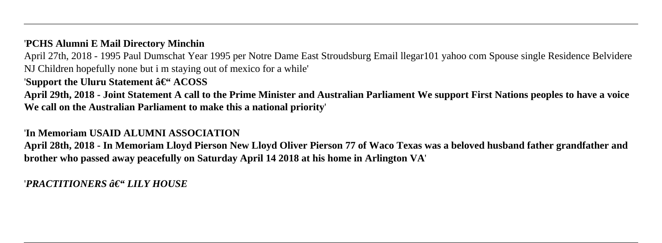#### '**PCHS Alumni E Mail Directory Minchin**

April 27th, 2018 - 1995 Paul Dumschat Year 1995 per Notre Dame East Stroudsburg Email llegar101 yahoo com Spouse single Residence Belvidere NJ Children hopefully none but i m staying out of mexico for a while'

#### 'Support the Uluru Statement  $\hat{a}\in$ " ACOSS

**April 29th, 2018 - Joint Statement A call to the Prime Minister and Australian Parliament We support First Nations peoples to have a voice We call on the Australian Parliament to make this a national priority**'

#### '**In Memoriam USAID ALUMNI ASSOCIATION**

**April 28th, 2018 - In Memoriam Lloyd Pierson New Lloyd Oliver Pierson 77 of Waco Texas was a beloved husband father grandfather and brother who passed away peacefully on Saturday April 14 2018 at his home in Arlington VA**'

*'PRACTITIONERS – LILY HOUSE*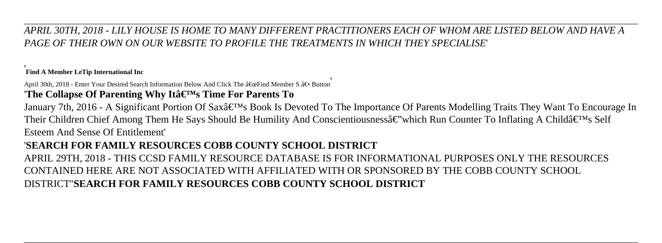*APRIL 30TH, 2018 - LILY HOUSE IS HOME TO MANY DIFFERENT PRACTITIONERS EACH OF WHOM ARE LISTED BELOW AND HAVE A PAGE OF THEIR OWN ON OUR WEBSITE TO PROFILE THE TREATMENTS IN WHICH THEY SPECIALISE*'

#### '**Find A Member LeTip International Inc**

April 30th, 2018 - Enter Your Desired Search Information Below And Click The "Find Member S †• Button 'The Collapse Of Parenting Why Itâ€<sup>™</sup>s Time For Parents To

January 7th, 2016 - A Significant Portion Of Sax's Book Is Devoted To The Importance Of Parents Modelling Traits They Want To Encourage In Their Children Chief Among Them He Says Should Be Humility And Conscientiousness  $\hat{\epsilon}$  which Run Counter To Inflating A Child $\hat{\epsilon}$ <sup>TM</sup>s Self Esteem And Sense Of Entitlement'

#### '**SEARCH FOR FAMILY RESOURCES COBB COUNTY SCHOOL DISTRICT**

APRIL 29TH, 2018 - THIS CCSD FAMILY RESOURCE DATABASE IS FOR INFORMATIONAL PURPOSES ONLY THE RESOURCES CONTAINED HERE ARE NOT ASSOCIATED WITH AFFILIATED WITH OR SPONSORED BY THE COBB COUNTY SCHOOL DISTRICT''**SEARCH FOR FAMILY RESOURCES COBB COUNTY SCHOOL DISTRICT**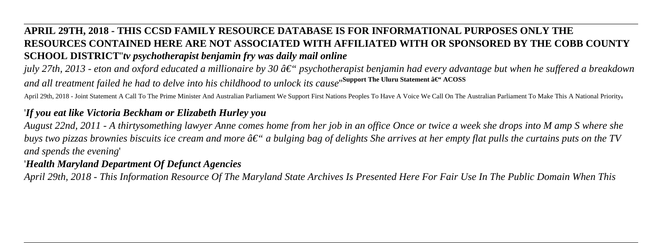## **APRIL 29TH, 2018 - THIS CCSD FAMILY RESOURCE DATABASE IS FOR INFORMATIONAL PURPOSES ONLY THE RESOURCES CONTAINED HERE ARE NOT ASSOCIATED WITH AFFILIATED WITH OR SPONSORED BY THE COBB COUNTY SCHOOL DISTRICT**''*tv psychotherapist benjamin fry was daily mail online*

*july 27th, 2013 - eton and oxford educated a millionaire by 30 â€*" psychotherapist benjamin had every advantage but when he suffered a breakdown *and all treatment failed he had to delve into his childhood to unlock its cause*"<sup>Support The Uluru Statement â€" ACOSS</sup>

April 29th, 2018 - Joint Statement A Call To The Prime Minister And Australian Parliament We Support First Nations Peoples To Have A Voice We Call On The Australian Parliament To Make This A National Priority'

#### '*If you eat like Victoria Beckham or Elizabeth Hurley you*

*August 22nd, 2011 - A thirtysomething lawyer Anne comes home from her job in an office Once or twice a week she drops into M amp S where she buys two pizzas brownies biscuits ice cream and more*  $\hat{a}\epsilon$ *" a bulging bag of delights She arrives at her empty flat pulls the curtains puts on the TV and spends the evening*'

#### '*Health Maryland Department Of Defunct Agencies*

*April 29th, 2018 - This Information Resource Of The Maryland State Archives Is Presented Here For Fair Use In The Public Domain When This*